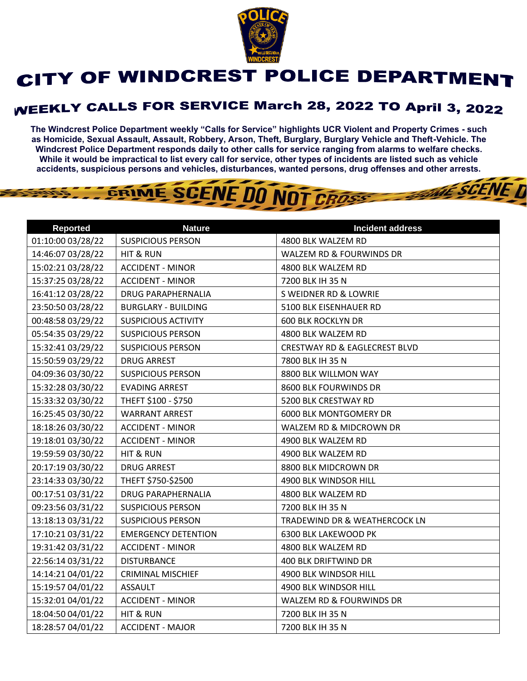

## CITY OF WINDCREST POLICE DEPARTMENT

## **WEEKLY CALLS FOR SERVICE March 28, 2022 TO April 3, 2022**

**The Windcrest Police Department weekly "Calls for Service" highlights UCR Violent and Property Crimes - such as Homicide, Sexual Assault, Assault, Robbery, Arson, Theft, Burglary, Burglary Vehicle and Theft-Vehicle. The Windcrest Police Department responds daily to other calls for service ranging from alarms to welfare checks. While it would be impractical to list every call for service, other types of incidents are listed such as vehicle accidents, suspicious persons and vehicles, disturbances, wanted persons, drug offenses and other arrests.** 

**THE SCENE D** 

## GRIME SCENE DO NOT CROSS

| <b>Reported</b>   | <b>Nature</b>              | <b>Incident address</b>                  |
|-------------------|----------------------------|------------------------------------------|
| 01:10:00 03/28/22 | <b>SUSPICIOUS PERSON</b>   | 4800 BLK WALZEM RD                       |
| 14:46:07 03/28/22 | HIT & RUN                  | WALZEM RD & FOURWINDS DR                 |
| 15:02:21 03/28/22 | <b>ACCIDENT - MINOR</b>    | 4800 BLK WALZEM RD                       |
| 15:37:25 03/28/22 | <b>ACCIDENT - MINOR</b>    | 7200 BLK IH 35 N                         |
| 16:41:12 03/28/22 | <b>DRUG PARAPHERNALIA</b>  | <b>S WEIDNER RD &amp; LOWRIE</b>         |
| 23:50:50 03/28/22 | <b>BURGLARY - BUILDING</b> | 5100 BLK EISENHAUER RD                   |
| 00:48:58 03/29/22 | <b>SUSPICIOUS ACTIVITY</b> | <b>600 BLK ROCKLYN DR</b>                |
| 05:54:35 03/29/22 | <b>SUSPICIOUS PERSON</b>   | 4800 BLK WALZEM RD                       |
| 15:32:41 03/29/22 | <b>SUSPICIOUS PERSON</b>   | <b>CRESTWAY RD &amp; EAGLECREST BLVD</b> |
| 15:50:59 03/29/22 | <b>DRUG ARREST</b>         | 7800 BLK IH 35 N                         |
| 04:09:36 03/30/22 | <b>SUSPICIOUS PERSON</b>   | 8800 BLK WILLMON WAY                     |
| 15:32:28 03/30/22 | <b>EVADING ARREST</b>      | 8600 BLK FOURWINDS DR                    |
| 15:33:32 03/30/22 | THEFT \$100 - \$750        | 5200 BLK CRESTWAY RD                     |
| 16:25:45 03/30/22 | <b>WARRANT ARREST</b>      | 6000 BLK MONTGOMERY DR                   |
| 18:18:26 03/30/22 | <b>ACCIDENT - MINOR</b>    | WALZEM RD & MIDCROWN DR                  |
| 19:18:01 03/30/22 | <b>ACCIDENT - MINOR</b>    | 4900 BLK WALZEM RD                       |
| 19:59:59 03/30/22 | HIT & RUN                  | 4900 BLK WALZEM RD                       |
| 20:17:19 03/30/22 | <b>DRUG ARREST</b>         | 8800 BLK MIDCROWN DR                     |
| 23:14:33 03/30/22 | THEFT \$750-\$2500         | 4900 BLK WINDSOR HILL                    |
| 00:17:51 03/31/22 | <b>DRUG PARAPHERNALIA</b>  | 4800 BLK WALZEM RD                       |
| 09:23:56 03/31/22 | <b>SUSPICIOUS PERSON</b>   | 7200 BLK IH 35 N                         |
| 13:18:13 03/31/22 | <b>SUSPICIOUS PERSON</b>   | TRADEWIND DR & WEATHERCOCK LN            |
| 17:10:21 03/31/22 | <b>EMERGENCY DETENTION</b> | 6300 BLK LAKEWOOD PK                     |
| 19:31:42 03/31/22 | <b>ACCIDENT - MINOR</b>    | 4800 BLK WALZEM RD                       |
| 22:56:14 03/31/22 | <b>DISTURBANCE</b>         | 400 BLK DRIFTWIND DR                     |
| 14:14:21 04/01/22 | <b>CRIMINAL MISCHIEF</b>   | 4900 BLK WINDSOR HILL                    |
| 15:19:57 04/01/22 | <b>ASSAULT</b>             | 4900 BLK WINDSOR HILL                    |
| 15:32:01 04/01/22 | <b>ACCIDENT - MINOR</b>    | WALZEM RD & FOURWINDS DR                 |
| 18:04:50 04/01/22 | <b>HIT &amp; RUN</b>       | 7200 BLK IH 35 N                         |
| 18:28:57 04/01/22 | <b>ACCIDENT - MAJOR</b>    | 7200 BLK IH 35 N                         |